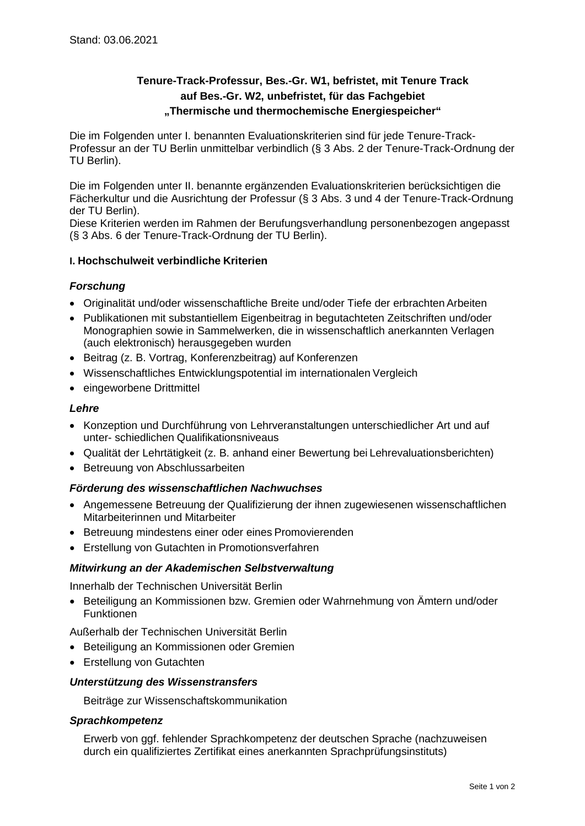# **Tenure-Track-Professur, Bes.-Gr. W1, befristet, mit Tenure Track auf Bes.-Gr. W2, unbefristet, für das Fachgebiet "Thermische und thermochemische Energiespeicher"**

Die im Folgenden unter I. benannten Evaluationskriterien sind für jede Tenure-Track-Professur an der TU Berlin unmittelbar verbindlich (§ 3 Abs. 2 der Tenure-Track-Ordnung der TU Berlin).

Die im Folgenden unter II. benannte ergänzenden Evaluationskriterien berücksichtigen die Fächerkultur und die Ausrichtung der Professur (§ 3 Abs. 3 und 4 der Tenure-Track-Ordnung der TU Berlin).

Diese Kriterien werden im Rahmen der Berufungsverhandlung personenbezogen angepasst (§ 3 Abs. 6 der Tenure-Track-Ordnung der TU Berlin).

# **I. Hochschulweit verbindliche Kriterien**

# *Forschung*

- Originalität und/oder wissenschaftliche Breite und/oder Tiefe der erbrachten Arbeiten
- Publikationen mit substantiellem Eigenbeitrag in begutachteten Zeitschriften und/oder Monographien sowie in Sammelwerken, die in wissenschaftlich anerkannten Verlagen (auch elektronisch) herausgegeben wurden
- Beitrag (z. B. Vortrag, Konferenzbeitrag) auf Konferenzen
- Wissenschaftliches Entwicklungspotential im internationalen Vergleich
- eingeworbene Drittmittel

# *Lehre*

- Konzeption und Durchführung von Lehrveranstaltungen unterschiedlicher Art und auf unter- schiedlichen Qualifikationsniveaus
- Qualität der Lehrtätigkeit (z. B. anhand einer Bewertung bei Lehrevaluationsberichten)
- Betreuung von Abschlussarbeiten

# *Förderung des wissenschaftlichen Nachwuchses*

- Angemessene Betreuung der Qualifizierung der ihnen zugewiesenen wissenschaftlichen Mitarbeiterinnen und Mitarbeiter
- Betreuung mindestens einer oder eines Promovierenden
- Erstellung von Gutachten in Promotionsverfahren

# *Mitwirkung an der Akademischen Selbstverwaltung*

Innerhalb der Technischen Universität Berlin

• Beteiligung an Kommissionen bzw. Gremien oder Wahrnehmung von Ämtern und/oder Funktionen

Außerhalb der Technischen Universität Berlin

- Beteiligung an Kommissionen oder Gremien
- Erstellung von Gutachten

# *Unterstützung des Wissenstransfers*

Beiträge zur Wissenschaftskommunikation

#### *Sprachkompetenz*

Erwerb von ggf. fehlender Sprachkompetenz der deutschen Sprache (nachzuweisen durch ein qualifiziertes Zertifikat eines anerkannten Sprachprüfungsinstituts)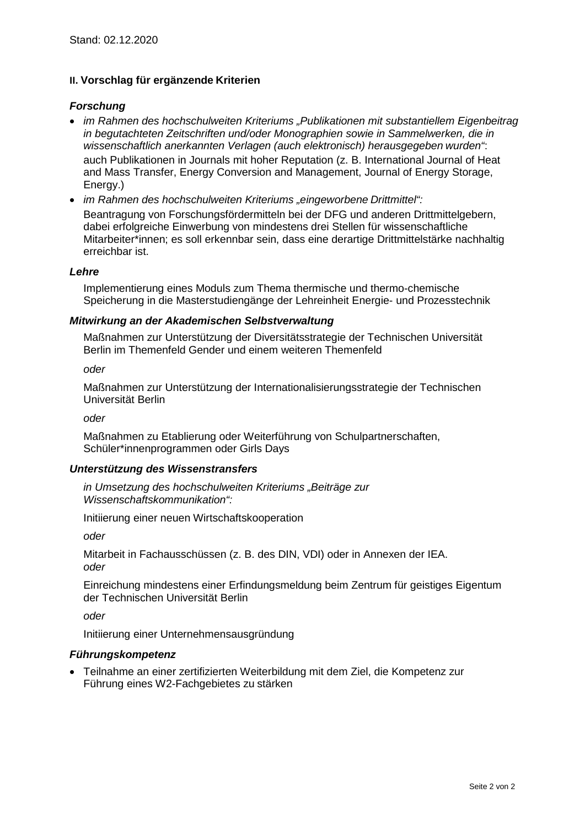# **II. Vorschlag für ergänzende Kriterien**

# *Forschung*

- *im Rahmen des hochschulweiten Kriteriums "Publikationen mit substantiellem Eigenbeitrag in begutachteten Zeitschriften und/oder Monographien sowie in Sammelwerken, die in wissenschaftlich anerkannten Verlagen (auch elektronisch) herausgegeben wurden"*: auch Publikationen in Journals mit hoher Reputation (z. B. International Journal of Heat and Mass Transfer, Energy Conversion and Management, Journal of Energy Storage, Energy.)
- *im Rahmen des hochschulweiten Kriteriums "eingeworbene Drittmittel":* Beantragung von Forschungsfördermitteln bei der DFG und anderen Drittmittelgebern, dabei erfolgreiche Einwerbung von mindestens drei Stellen für wissenschaftliche Mitarbeiter\*innen; es soll erkennbar sein, dass eine derartige Drittmittelstärke nachhaltig erreichbar ist.

#### *Lehre*

Implementierung eines Moduls zum Thema thermische und thermo-chemische Speicherung in die Masterstudiengänge der Lehreinheit Energie- und Prozesstechnik

#### *Mitwirkung an der Akademischen Selbstverwaltung*

Maßnahmen zur Unterstützung der Diversitätsstrategie der Technischen Universität Berlin im Themenfeld Gender und einem weiteren Themenfeld

*oder*

Maßnahmen zur Unterstützung der Internationalisierungsstrategie der Technischen Universität Berlin

*oder*

Maßnahmen zu Etablierung oder Weiterführung von Schulpartnerschaften, Schüler\*innenprogrammen oder Girls Days

#### *Unterstützung des Wissenstransfers*

*in Umsetzung des hochschulweiten Kriteriums "Beiträge zur Wissenschaftskommunikation":*

Initiierung einer neuen Wirtschaftskooperation

*oder*

Mitarbeit in Fachausschüssen (z. B. des DIN, VDI) oder in Annexen der IEA. *oder*

Einreichung mindestens einer Erfindungsmeldung beim Zentrum für geistiges Eigentum der Technischen Universität Berlin

*oder*

Initiierung einer Unternehmensausgründung

# *Führungskompetenz*

• Teilnahme an einer zertifizierten Weiterbildung mit dem Ziel, die Kompetenz zur Führung eines W2-Fachgebietes zu stärken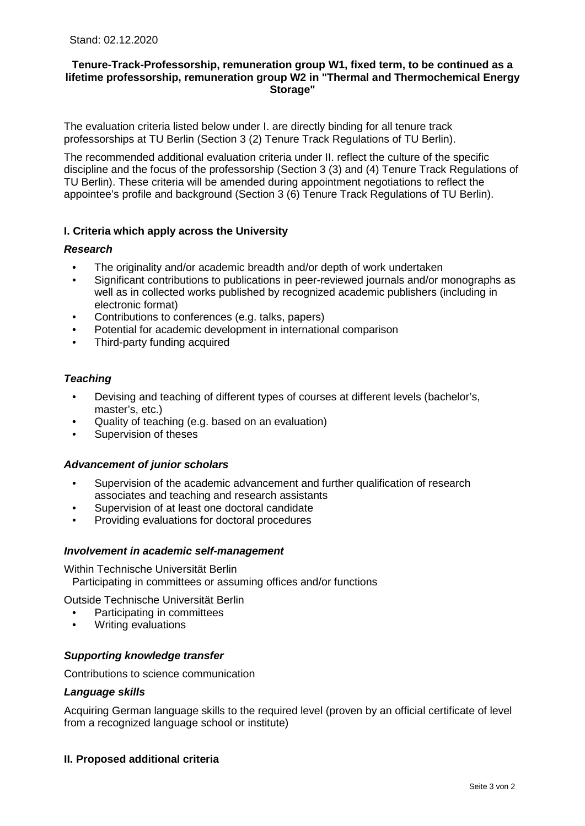### **Tenure-Track-Professorship, remuneration group W1, fixed term, to be continued as a lifetime professorship, remuneration group W2 in "Thermal and Thermochemical Energy Storage"**

The evaluation criteria listed below under I. are directly binding for all tenure track professorships at TU Berlin (Section 3 (2) Tenure Track Regulations of TU Berlin).

The recommended additional evaluation criteria under II. reflect the culture of the specific discipline and the focus of the professorship (Section 3 (3) and (4) Tenure Track Regulations of TU Berlin). These criteria will be amended during appointment negotiations to reflect the appointee's profile and background (Section 3 (6) Tenure Track Regulations of TU Berlin).

# **I. Criteria which apply across the University**

#### *Research*

- The originality and/or academic breadth and/or depth of work undertaken
- Significant contributions to publications in peer-reviewed journals and/or monographs as well as in collected works published by recognized academic publishers (including in electronic format)
- Contributions to conferences (e.g. talks, papers)
- Potential for academic development in international comparison
- Third-party funding acquired

#### *Teaching*

- Devising and teaching of different types of courses at different levels (bachelor's, master's, etc.)
- Quality of teaching (e.g. based on an evaluation)
- Supervision of theses

#### *Advancement of junior scholars*

- Supervision of the academic advancement and further qualification of research associates and teaching and research assistants
- Supervision of at least one doctoral candidate
- Providing evaluations for doctoral procedures

#### *Involvement in academic self-management*

Within Technische Universität Berlin Participating in committees or assuming offices and/or functions

Outside Technische Universität Berlin

- Participating in committees
- Writing evaluations

#### *Supporting knowledge transfer*

Contributions to science communication

#### *Language skills*

Acquiring German language skills to the required level (proven by an official certificate of level from a recognized language school or institute)

# **II. Proposed additional criteria**